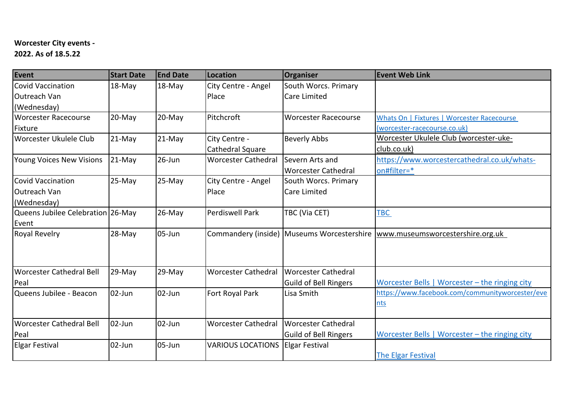## **Worcester City events -**

**2022. As of 18.5.22**

| Event                             | <b>Start Date</b> | <b>End Date</b> | Location                   | Organiser                                    | <b>Event Web Link</b>                           |
|-----------------------------------|-------------------|-----------------|----------------------------|----------------------------------------------|-------------------------------------------------|
| Covid Vaccination                 | $18$ -May         | 18-May          | City Centre - Angel        | South Worcs. Primary                         |                                                 |
| Outreach Van                      |                   |                 | Place                      | <b>Care Limited</b>                          |                                                 |
| (Wednesday)                       |                   |                 |                            |                                              |                                                 |
| Worcester Racecourse              | 20-May            | $20$ -May       | Pitchcroft                 | <b>Worcester Racecourse</b>                  | Whats On   Fixtures   Worcester Racecourse      |
| Fixture                           |                   |                 |                            |                                              | (worcester-racecourse.co.uk)                    |
| Worcester Ukulele Club            | 21-May            | 21-May          | City Centre -              | <b>Beverly Abbs</b>                          | <u>Worcester Ukulele Club (worcester-uke-</u>   |
|                                   |                   |                 | Cathedral Square           |                                              | club.co.uk)                                     |
| Young Voices New Visions          | 21-May            | 26-Jun          | <b>Worcester Cathedral</b> | Severn Arts and                              | https://www.worcestercathedral.co.uk/whats-     |
|                                   |                   |                 |                            | <b>Worcester Cathedral</b>                   | on#filter=*                                     |
| Covid Vaccination                 | 25-May            | $25-May$        | City Centre - Angel        | South Worcs. Primary                         |                                                 |
| Outreach Van                      |                   |                 | Place                      | <b>Care Limited</b>                          |                                                 |
| (Wednesday)                       |                   |                 |                            |                                              |                                                 |
| Queens Jubilee Celebration 26-May |                   | 26-May          | <b>Perdiswell Park</b>     | TBC (Via CET)                                | TBC                                             |
| Event                             |                   |                 |                            |                                              |                                                 |
| <b>Royal Revelry</b>              | 28-May            | $05 - Jun$      |                            | Commandery (inside)   Museums Worcestershire | www.museumsworcestershire.org.uk                |
|                                   |                   |                 |                            |                                              |                                                 |
|                                   |                   |                 |                            |                                              |                                                 |
| Worcester Cathedral Bell          | $29-May$          | 29-May          | <b>Worcester Cathedral</b> | <b>Worcester Cathedral</b>                   |                                                 |
| Peal                              |                   |                 |                            | <b>Guild of Bell Ringers</b>                 | Worcester Bells   Worcester - the ringing city  |
| Queens Jubilee - Beacon           | $02$ -Jun         | $02$ -Jun       | Fort Royal Park            | Lisa Smith                                   | https://www.facebook.com/communityworcester/eve |
|                                   |                   |                 |                            |                                              | nts                                             |
|                                   |                   |                 |                            |                                              |                                                 |
| Worcester Cathedral Bell          | 02-Jun            | $02$ -Jun       | <b>Worcester Cathedral</b> | <b>Worcester Cathedral</b>                   |                                                 |
| Peal                              |                   |                 |                            | Guild of Bell Ringers                        | Worcester Bells   Worcester - the ringing city  |
| <b>Elgar Festival</b>             | 02-Jun            | 05-Jun          | <b>VARIOUS LOCATIONS</b>   | <b>Elgar Festival</b>                        |                                                 |
|                                   |                   |                 |                            |                                              | <b>The Elgar Festival</b>                       |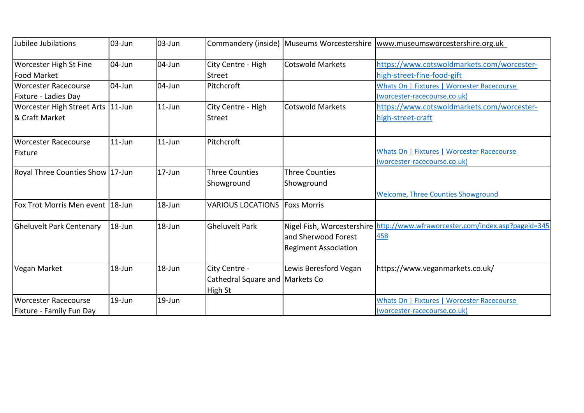| Jubilee Jubilations                                   | l03-Jun    | $03$ -Jun  |                                                             |                                                                                  | Commandery (inside) Museums Worcestershire  www.museumsworcestershire.org.uk |
|-------------------------------------------------------|------------|------------|-------------------------------------------------------------|----------------------------------------------------------------------------------|------------------------------------------------------------------------------|
| <b>Worcester High St Fine</b><br><b>Food Market</b>   | $104$ -Jun | 04-Jun     | City Centre - High<br><b>Street</b>                         | <b>Cotswold Markets</b>                                                          | https://www.cotswoldmarkets.com/worcester-<br>high-street-fine-food-gift     |
| Worcester Racecourse<br>Fixture - Ladies Day          | 04-Jun     | 04-Jun     | Pitchcroft                                                  |                                                                                  | Whats On   Fixtures   Worcester Racecourse<br>(worcester-racecourse.co.uk)   |
| Worcester High Street Arts   11-Jun<br>& Craft Market |            | $11$ -Jun  | City Centre - High<br><b>Street</b>                         | <b>Cotswold Markets</b>                                                          | https://www.cotswoldmarkets.com/worcester-<br>high-street-craft              |
| Worcester Racecourse<br>Fixture                       | $11$ -Jun  | $11$ -Jun  | <b>Pitchcroft</b>                                           |                                                                                  | Whats On   Fixtures   Worcester Racecourse<br>(worcester-racecourse.co.uk)   |
| Royal Three Counties Show 17-Jun                      |            | 17-Jun     | <b>Three Counties</b><br>Showground                         | <b>Three Counties</b><br>Showground                                              | <b>Welcome, Three Counties Showground</b>                                    |
| Fox Trot Morris Men event 18-Jun                      |            | $18 - Jun$ | <b>VARIOUS LOCATIONS</b>                                    | <b>Foxs Morris</b>                                                               |                                                                              |
| <b>Gheluvelt Park Centenary</b>                       | 18-Jun     | $18 - Jun$ | <b>I</b> Gheluvelt Park                                     | Nigel Fish, Worcestershire<br>and Sherwood Forest<br><b>Regiment Association</b> | http://www.wfraworcester.com/index.asp?pageid=345<br>458                     |
| Vegan Market                                          | 18-Jun     | 18-Jun     | City Centre -<br>Cathedral Square and Markets Co<br>High St | Lewis Beresford Vegan                                                            | https://www.veganmarkets.co.uk/                                              |
| Worcester Racecourse<br>Fixture - Family Fun Day      | $19$ -Jun  | $19 - Jun$ |                                                             |                                                                                  | Whats On   Fixtures   Worcester Racecourse<br>(worcester-racecourse.co.uk)   |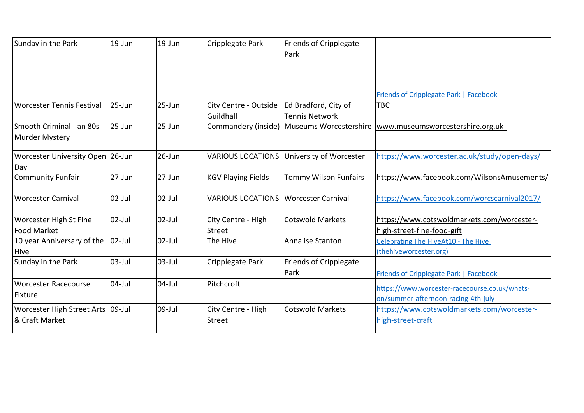| Sunday in the Park                                    | $19 - Jun$  | $19 - Jun$ | Cripplegate Park                    | <b>Friends of Cripplegate</b><br>Park         |                                                                                      |
|-------------------------------------------------------|-------------|------------|-------------------------------------|-----------------------------------------------|--------------------------------------------------------------------------------------|
|                                                       |             |            |                                     |                                               | Friends of Cripplegate Park   Facebook                                               |
| Worcester Tennis Festival                             | 25-Jun      | $25 - Jun$ | City Centre - Outside<br>Guildhall  | Ed Bradford, City of<br><b>Tennis Network</b> | TBC                                                                                  |
| Smooth Criminal - an 80s<br>Murder Mystery            | 25-Jun      | 25-Jun     |                                     | Commandery (inside) Museums Worcestershire    | www.museumsworcestershire.org.uk                                                     |
| <b>Worcester University Open</b><br>Day               | $26$ -Jun   | $26$ -Jun  | <b>VARIOUS LOCATIONS</b>            | University of Worcester                       | https://www.worcester.ac.uk/study/open-days/                                         |
| <b>Community Funfair</b>                              | 27-Jun      | $27 - Jun$ | <b>KGV Playing Fields</b>           | <b>Tommy Wilson Funfairs</b>                  | https://www.facebook.com/WilsonsAmusements/                                          |
| <b>Worcester Carnival</b>                             | 02-Jul      | $02$ -Jul  | <b>VARIOUS LOCATIONS</b>            | Worcester Carnival                            | https://www.facebook.com/worcscarnival2017/                                          |
| <b>Worcester High St Fine</b><br><b>Food Market</b>   | $02$ -Jul   | $02$ -Jul  | City Centre - High<br><b>Street</b> | <b>Cotswold Markets</b>                       | https://www.cotswoldmarkets.com/worcester-<br>high-street-fine-food-gift             |
| 10 year Anniversary of the<br><b>Hive</b>             | $ 02-Jul $  | $02$ -Jul  | The Hive                            | <b>Annalise Stanton</b>                       | <b>Celebrating The HiveAt10 - The Hive</b><br>(thehiveworcester.org)                 |
| Sunday in the Park                                    | $03$ -Jul   | $03$ -Jul  | Cripplegate Park                    | Friends of Cripplegate<br>Park                | <b>Friends of Cripplegate Park   Facebook</b>                                        |
| <b>Worcester Racecourse</b><br>Fixture                | $ 04 - Ju $ | $04$ -Jul  | Pitchcroft                          |                                               | https://www.worcester-racecourse.co.uk/whats-<br>on/summer-afternoon-racing-4th-july |
| Worcester High Street Arts  09-Jul<br>l& Craft Market |             | 09-Jul     | City Centre - High<br>Street        | <b>Cotswold Markets</b>                       | https://www.cotswoldmarkets.com/worcester-<br>high-street-craft                      |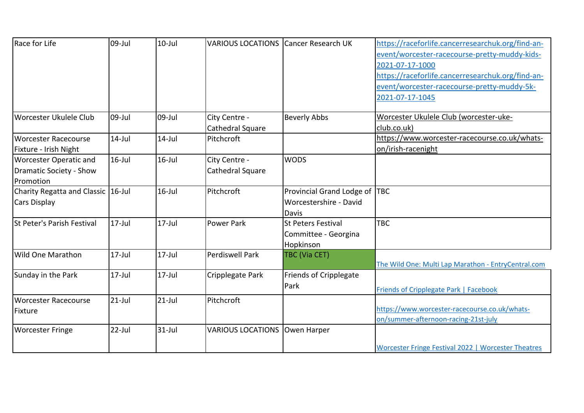| Race for Life                                                         | 09-Jul    | $10$ -Jul | <b>VARIOUS LOCATIONS Cancer Research UK</b> |                                                                | https://raceforlife.cancerresearchuk.org/find-an-<br>event/worcester-racecourse-pretty-muddy-kids-<br>2021-07-17-1000<br>https://raceforlife.cancerresearchuk.org/find-an-<br>event/worcester-racecourse-pretty-muddy-5k-<br>2021-07-17-1045 |
|-----------------------------------------------------------------------|-----------|-----------|---------------------------------------------|----------------------------------------------------------------|----------------------------------------------------------------------------------------------------------------------------------------------------------------------------------------------------------------------------------------------|
| Worcester Ukulele Club                                                | 09-Jul    | 09-Jul    | City Centre -<br>Cathedral Square           | <b>Beverly Abbs</b>                                            | Worcester Ukulele Club (worcester-uke-<br>club.co.uk)                                                                                                                                                                                        |
| Worcester Racecourse<br>Fixture - Irish Night                         | $14$ -Jul | $14$ -Jul | Pitchcroft                                  |                                                                | https://www.worcester-racecourse.co.uk/whats-<br>on/irish-racenight                                                                                                                                                                          |
| <b>Worcester Operatic and</b><br>Dramatic Society - Show<br>Promotion | $16$ -Jul | $16$ -Jul | City Centre -<br>Cathedral Square           | <b>WODS</b>                                                    |                                                                                                                                                                                                                                              |
| Charity Regatta and Classic 16-Jul<br>Cars Display                    |           | $16$ -Jul | Pitchcroft                                  | Provincial Grand Lodge of<br>Worcestershire - David<br>Davis   | <b>TBC</b>                                                                                                                                                                                                                                   |
| St Peter's Parish Festival                                            | $17$ -Jul | $17$ -Jul | Power Park                                  | <b>St Peters Festival</b><br>Committee - Georgina<br>Hopkinson | <b>TBC</b>                                                                                                                                                                                                                                   |
| <b>Wild One Marathon</b>                                              | $17$ -Jul | $17$ -Jul | Perdiswell Park                             | TBC (Via CET)                                                  | The Wild One: Multi Lap Marathon - EntryCentral.com                                                                                                                                                                                          |
| Sunday in the Park                                                    | $17$ -Jul | $17$ -Jul | Cripplegate Park                            | Friends of Cripplegate<br>Park                                 | <b>Friends of Cripplegate Park   Facebook</b>                                                                                                                                                                                                |
| Worcester Racecourse<br>Fixture                                       | $21$ -Jul | $21$ -Jul | Pitchcroft                                  |                                                                | https://www.worcester-racecourse.co.uk/whats-<br>on/summer-afternoon-racing-21st-july                                                                                                                                                        |
| <b>Worcester Fringe</b>                                               | $22$ -Jul | $31$ -Jul | VARIOUS LOCATIONS Owen Harper               |                                                                | Worcester Fringe Festival 2022   Worcester Theatres                                                                                                                                                                                          |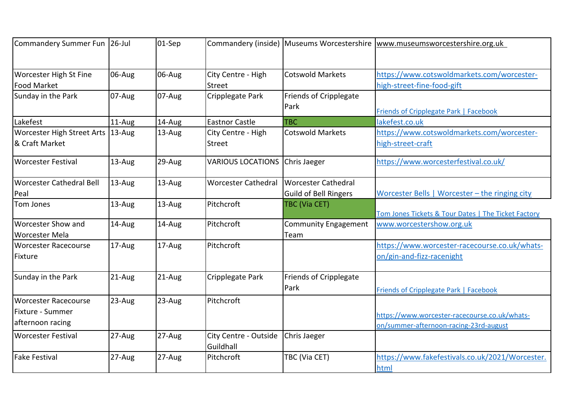| Commandery Summer Fun   26-Jul                                      |           | $01-Sep$ |                                     |                                                     | Commandery (inside) Museums Worcestershire www.museumsworcestershire.org.uk             |
|---------------------------------------------------------------------|-----------|----------|-------------------------------------|-----------------------------------------------------|-----------------------------------------------------------------------------------------|
| <b>Worcester High St Fine</b><br><b>Food Market</b>                 | 06-Aug    | 06-Aug   | City Centre - High<br>Street        | <b>Cotswold Markets</b>                             | https://www.cotswoldmarkets.com/worcester-<br>high-street-fine-food-gift                |
| Sunday in the Park                                                  | $07-Au$ g | 07-Aug   | Cripplegate Park                    | Friends of Cripplegate<br>Park                      | <b>Friends of Cripplegate Park   Facebook</b>                                           |
| Lakefest                                                            | 11-Aug    | 14-Aug   | <b>Eastnor Castle</b>               | <b>TBC</b>                                          | lakefest.co.uk                                                                          |
| Worcester High Street Arts   13-Aug<br>& Craft Market               |           | 13-Aug   | City Centre - High<br><b>Street</b> | <b>Cotswold Markets</b>                             | https://www.cotswoldmarkets.com/worcester-<br>high-street-craft                         |
| Worcester Festival                                                  | 13-Aug    | 29-Aug   | <b>VARIOUS LOCATIONS</b>            | Chris Jaeger                                        | https://www.worcesterfestival.co.uk/                                                    |
| <b>Worcester Cathedral Bell</b><br>Peal                             | $13$ -Aug | 13-Aug   | <b>Worcester Cathedral</b>          | <b>Worcester Cathedral</b><br>Guild of Bell Ringers | Worcester Bells   Worcester - the ringing city                                          |
| Tom Jones                                                           | 13-Aug    | 13-Aug   | Pitchcroft                          | TBC (Via CET)                                       | Tom Jones Tickets & Tour Dates   The Ticket Factory                                     |
| <b>Worcester Show and</b><br><b>Worcester Mela</b>                  | 14-Aug    | 14-Aug   | Pitchcroft                          | <b>Community Engagement</b><br>Team                 | www.worcestershow.org.uk                                                                |
| <b>Worcester Racecourse</b><br>Fixture                              | 17-Aug    | 17-Aug   | Pitchcroft                          |                                                     | https://www.worcester-racecourse.co.uk/whats-<br>on/gin-and-fizz-racenight              |
| Sunday in the Park                                                  | $21-Aug$  | $21-Aug$ | Cripplegate Park                    | <b>Friends of Cripplegate</b><br>Park               | Friends of Cripplegate Park   Facebook                                                  |
| <b>Worcester Racecourse</b><br>Fixture - Summer<br>afternoon racing | 23-Aug    | 23-Aug   | Pitchcroft                          |                                                     | https://www.worcester-racecourse.co.uk/whats-<br>on/summer-afternoon-racing-23rd-august |
| <b>Worcester Festival</b>                                           | 27-Aug    | 27-Aug   | City Centre - Outside<br>Guildhall  | Chris Jaeger                                        |                                                                                         |
| <b>Fake Festival</b>                                                | 27-Aug    | 27-Aug   | Pitchcroft                          | TBC (Via CET)                                       | https://www.fakefestivals.co.uk/2021/Worcester.<br>html                                 |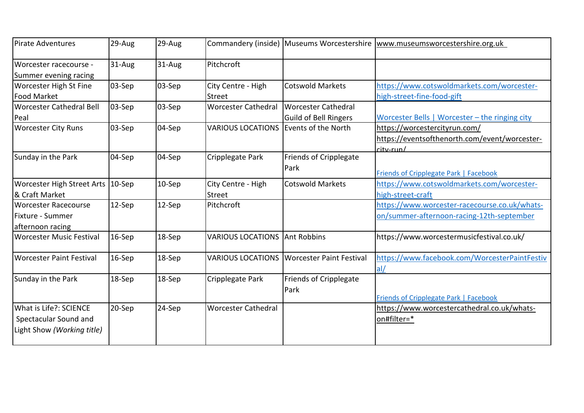| Pirate Adventures                                                             | 29-Aug     | 29-Aug |                                     | Commandery (inside) Museums Worcestershire   | www.museumsworcestershire.org.uk                                                            |
|-------------------------------------------------------------------------------|------------|--------|-------------------------------------|----------------------------------------------|---------------------------------------------------------------------------------------------|
| Worcester racecourse -<br>Summer evening racing                               | 31-Aug     | 31-Aug | Pitchcroft                          |                                              |                                                                                             |
| Worcester High St Fine<br>Food Market                                         | $ 03-Sep$  | 03-Sep | City Centre - High<br><b>Street</b> | <b>Cotswold Markets</b>                      | https://www.cotswoldmarkets.com/worcester-<br>high-street-fine-food-gift                    |
| <b>Worcester Cathedral Bell</b><br>Peal                                       | $ 03-Sep$  | 03-Sep | <b>Worcester Cathedral</b>          | Worcester Cathedral<br>Guild of Bell Ringers | Worcester Bells   Worcester - the ringing city                                              |
| <b>Worcester City Runs</b>                                                    | $ 03-$ Sep | 04-Sep | <b>VARIOUS LOCATIONS</b>            | Events of the North                          | https://worcestercityrun.com/<br>https://eventsofthenorth.com/event/worcester-<br>city-run/ |
| Sunday in the Park                                                            | 04-Sep     | 04-Sep | Cripplegate Park                    | <b>Friends of Cripplegate</b><br>Park        | Friends of Cripplegate Park   Facebook                                                      |
| Worcester High Street Arts 10-Sep<br>l& Craft Market                          |            | 10-Sep | City Centre - High<br><b>Street</b> | <b>Cotswold Markets</b>                      | https://www.cotswoldmarkets.com/worcester-<br>high-street-craft                             |
| Worcester Racecourse<br>lFixture - Summer<br>afternoon racing                 | 12-Sep     | 12-Sep | Pitchcroft                          |                                              | https://www.worcester-racecourse.co.uk/whats-<br>on/summer-afternoon-racing-12th-september  |
| <b>Worcester Music Festival</b>                                               | 16-Sep     | 18-Sep | <b>VARIOUS LOCATIONS</b>            | <b>Ant Robbins</b>                           | https://www.worcestermusicfestival.co.uk/                                                   |
| Worcester Paint Festival                                                      | 16-Sep     | 18-Sep | <b>VARIOUS LOCATIONS</b>            | <b>Worcester Paint Festival</b>              | https://www.facebook.com/WorcesterPaintFestiv<br>al/                                        |
| Sunday in the Park                                                            | 18-Sep     | 18-Sep | Cripplegate Park                    | Friends of Cripplegate<br>Park               | Friends of Cripplegate Park   Facebook                                                      |
| What is Life?: SCIENCE<br>Spectacular Sound and<br>Light Show (Working title) | 20-Sep     | 24-Sep | <b>Worcester Cathedral</b>          |                                              | https://www.worcestercathedral.co.uk/whats-<br>on#filter=*                                  |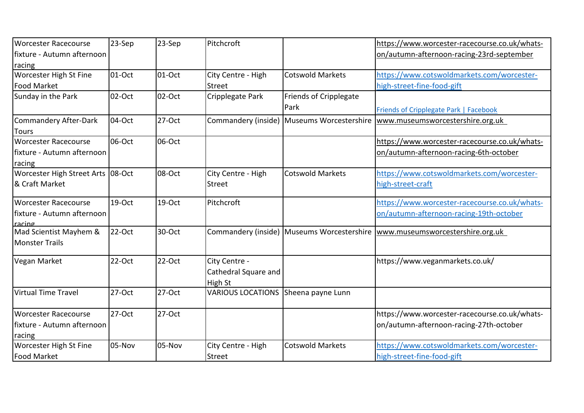| <b>Worcester Racecourse</b>          | 23-Sep | 23-Sep    | Pitchcroft                          |                                            | https://www.worcester-racecourse.co.uk/whats- |
|--------------------------------------|--------|-----------|-------------------------------------|--------------------------------------------|-----------------------------------------------|
| fixture - Autumn afternoon           |        |           |                                     |                                            | on/autumn-afternoon-racing-23rd-september     |
| racing                               |        |           |                                     |                                            |                                               |
| <b>Worcester High St Fine</b>        | 01-Oct | 01-Oct    | City Centre - High                  | <b>Cotswold Markets</b>                    | https://www.cotswoldmarkets.com/worcester-    |
| <b>Food Market</b>                   |        |           | <b>Street</b>                       |                                            | high-street-fine-food-gift                    |
| Sunday in the Park                   | 02-Oct | 02-Oct    | Cripplegate Park                    | Friends of Cripplegate                     |                                               |
|                                      |        |           |                                     | Park                                       | Friends of Cripplegate Park   Facebook        |
| Commandery After-Dark                | 04-Oct | 27-Oct    |                                     | Commandery (inside) Museums Worcestershire | www.museumsworcestershire.org.uk              |
| <b>Tours</b>                         |        |           |                                     |                                            |                                               |
| <b>Worcester Racecourse</b>          | 06-Oct | 06-Oct    |                                     |                                            | https://www.worcester-racecourse.co.uk/whats- |
| lfixture - Autumn afternoon          |        |           |                                     |                                            | on/autumn-afternoon-racing-6th-october        |
| racing                               |        |           |                                     |                                            |                                               |
| Worcester High Street Arts 08-Oct    |        | 08-Oct    | City Centre - High                  | <b>Cotswold Markets</b>                    | https://www.cotswoldmarkets.com/worcester-    |
| & Craft Market                       |        |           | <b>Street</b>                       |                                            | high-street-craft                             |
| <b>Worcester Racecourse</b>          | 19-Oct | 19-Oct    | Pitchcroft                          |                                            | https://www.worcester-racecourse.co.uk/whats- |
| fixture - Autumn afternoon<br>racing |        |           |                                     |                                            | on/autumn-afternoon-racing-19th-october       |
| Mad Scientist Mayhem &               | 22-Oct | 30-Oct    |                                     | Commandery (inside) Museums Worcestershire | www.museumsworcestershire.org.uk              |
| <b>Monster Trails</b>                |        |           |                                     |                                            |                                               |
| Vegan Market                         | 22-Oct | $22$ -Oct | City Centre -                       |                                            | https://www.veganmarkets.co.uk/               |
|                                      |        |           | Cathedral Square and                |                                            |                                               |
|                                      |        |           | High St                             |                                            |                                               |
| <b>Virtual Time Travel</b>           | 27-Oct | 27-Oct    | VARIOUS LOCATIONS Sheena payne Lunn |                                            |                                               |
| Worcester Racecourse                 | 27-Oct | 27-Oct    |                                     |                                            | https://www.worcester-racecourse.co.uk/whats- |
| fixture - Autumn afternoon           |        |           |                                     |                                            | on/autumn-afternoon-racing-27th-october       |
| racing                               |        |           |                                     |                                            |                                               |
| Worcester High St Fine               | 05-Nov | 05-Nov    | City Centre - High                  | <b>Cotswold Markets</b>                    | https://www.cotswoldmarkets.com/worcester-    |
| Food Market                          |        |           | Street                              |                                            | high-street-fine-food-gift                    |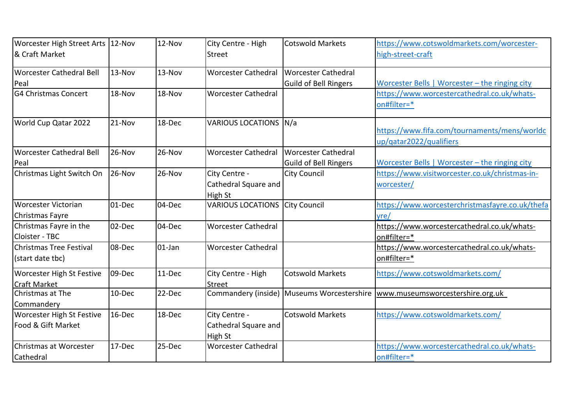| Worcester High Street Arts   12-Nov |           | 12-Nov    | City Centre - High         | <b>Cotswold Markets</b>                    | https://www.cotswoldmarkets.com/worcester-      |
|-------------------------------------|-----------|-----------|----------------------------|--------------------------------------------|-------------------------------------------------|
| & Craft Market                      |           |           | <b>Street</b>              |                                            | high-street-craft                               |
| Worcester Cathedral Bell            | 13-Nov    | 13-Nov    | <b>Worcester Cathedral</b> | <b>Worcester Cathedral</b>                 |                                                 |
| Peal                                |           |           |                            | <b>Guild of Bell Ringers</b>               | Worcester Bells   Worcester - the ringing city  |
| <b>G4 Christmas Concert</b>         | 18-Nov    | 18-Nov    | <b>Worcester Cathedral</b> |                                            | https://www.worcestercathedral.co.uk/whats-     |
|                                     |           |           |                            |                                            | on#filter=*                                     |
| World Cup Qatar 2022                | 21-Nov    | 18-Dec    | VARIOUS LOCATIONS N/a      |                                            |                                                 |
|                                     |           |           |                            |                                            | https://www.fifa.com/tournaments/mens/worldc    |
|                                     |           |           |                            |                                            | up/qatar2022/qualifiers                         |
| Worcester Cathedral Bell            | 26-Nov    | 26-Nov    | <b>Worcester Cathedral</b> | <b>Worcester Cathedral</b>                 |                                                 |
| Peal                                |           |           |                            | <b>Guild of Bell Ringers</b>               | Worcester Bells   Worcester - the ringing city  |
| Christmas Light Switch On           | 26-Nov    | 26-Nov    | City Centre -              | <b>City Council</b>                        | https://www.visitworcester.co.uk/christmas-in-  |
|                                     |           |           | Cathedral Square and       |                                            | worcester/                                      |
|                                     |           |           | High St                    |                                            |                                                 |
| Worcester Victorian                 | 01-Dec    | 04-Dec    | <b>VARIOUS LOCATIONS</b>   | <b>City Council</b>                        | https://www.worcesterchristmasfayre.co.uk/thefa |
| Christmas Fayre                     |           |           |                            |                                            | vre/                                            |
| Christmas Fayre in the              | 02-Dec    | 04-Dec    | <b>Worcester Cathedral</b> |                                            | https://www.worcestercathedral.co.uk/whats-     |
| Cloister - TBC                      |           |           |                            |                                            | on#filter=*                                     |
| <b>I</b> Christmas Tree Festival    | 08-Dec    | $01$ -Jan | <b>Worcester Cathedral</b> |                                            | https://www.worcestercathedral.co.uk/whats-     |
| (start date tbc)                    |           |           |                            |                                            | on#filter=*                                     |
| <b>Worcester High St Festive</b>    | 09-Dec    | $11-Dec$  | City Centre - High         | <b>Cotswold Markets</b>                    | https://www.cotswoldmarkets.com/                |
| <b>Craft Market</b>                 |           |           | <b>Street</b>              |                                            |                                                 |
| Christmas at The                    | 10-Dec    | 22-Dec    |                            | Commandery (inside) Museums Worcestershire | www.museumsworcestershire.org.uk                |
| Commandery                          |           |           |                            |                                            |                                                 |
| <b>Worcester High St Festive</b>    | $16$ -Dec | 18-Dec    | City Centre -              | <b>Cotswold Markets</b>                    | https://www.cotswoldmarkets.com/                |
| Food & Gift Market                  |           |           | Cathedral Square and       |                                            |                                                 |
|                                     |           |           | High St                    |                                            |                                                 |
| Christmas at Worcester              | 17-Dec    | 25-Dec    | <b>Worcester Cathedral</b> |                                            | https://www.worcestercathedral.co.uk/whats-     |
| Cathedral                           |           |           |                            |                                            | on#filter=*                                     |